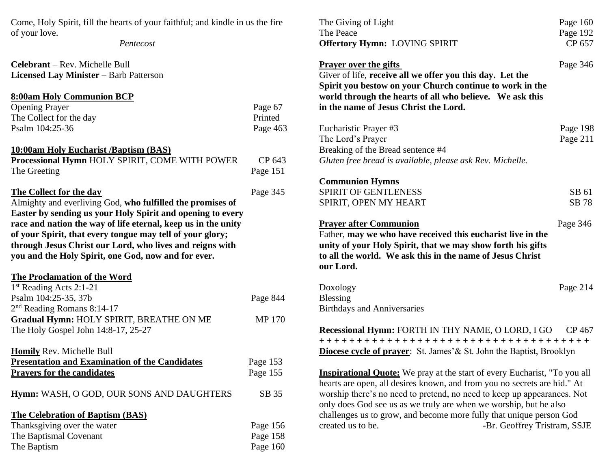Come, Holy Spirit, fill the hearts of your faithful; and kindle in us the fire of your love.

*Pentecost*

| <b>Celebrant</b> – Rev. Michelle Bull         |
|-----------------------------------------------|
| <b>Licensed Lay Minister</b> – Barb Patterson |

# **8:00am Holy Communion BCP** Opening Prayer Page 67<br>The Collect for the day Printed The Collect for the day Psalm 104:25-36 Page 463

# **10:00am Holy Eucharist /Baptism (BAS)**

| Processional Hymn HOLY SPIRIT, COME WITH POWER | CP 643   |
|------------------------------------------------|----------|
| The Greeting                                   | Page 151 |

# **The Collect for the day** Page 345

Almighty and everliving God, **who fulfilled the promises of Easter by sending us your Holy Spirit and opening to every race and nation the way of life eternal, keep us in the unity of your Spirit, that every tongue may tell of your glory; through Jesus Christ our Lord, who lives and reigns with you and the Holy Spirit, one God, now and for ever.**

## **The Proclamation of the Word**

| $1st$ Reading Acts 2:1-21                |          |
|------------------------------------------|----------|
| Psalm 104:25-35, 37b                     | Page 844 |
| $2nd$ Reading Romans 8:14-17             |          |
| Gradual Hymn: HOLY SPIRIT, BREATHE ON ME | MP 170   |
| The Holy Gospel John 14:8-17, 25-27      |          |

**Homily** Rev. Michelle Bull

| <b>Presentation and Examination of the Candidates</b> | Page 153 |
|-------------------------------------------------------|----------|
| <b>Prayers for the candidates</b>                     | Page 155 |

**Hymn:** WASH, O GOD, OUR SONS AND DAUGHTERS SB 35

#### **The Celebration of Baptism (BAS)**

| Thanksgiving over the water | Page 156   |
|-----------------------------|------------|
| The Baptismal Covenant      | Page 158   |
| The Baptism                 | Page $160$ |

| The Giving of Light                                                                                                                                                                                                                                                                                                                                                                                                                      | Page 160             |
|------------------------------------------------------------------------------------------------------------------------------------------------------------------------------------------------------------------------------------------------------------------------------------------------------------------------------------------------------------------------------------------------------------------------------------------|----------------------|
| The Peace                                                                                                                                                                                                                                                                                                                                                                                                                                | Page 192             |
| <b>Offertory Hymn: LOVING SPIRIT</b>                                                                                                                                                                                                                                                                                                                                                                                                     | CP 657               |
| <b>Prayer over the gifts</b><br>Giver of life, receive all we offer you this day. Let the<br>Spirit you bestow on your Church continue to work in the<br>world through the hearts of all who believe. We ask this<br>in the name of Jesus Christ the Lord.                                                                                                                                                                               | Page 346             |
| Eucharistic Prayer #3<br>The Lord's Prayer<br>Breaking of the Bread sentence #4<br>Gluten free bread is available, please ask Rev. Michelle.                                                                                                                                                                                                                                                                                             | Page 198<br>Page 211 |
| <b>Communion Hymns</b><br><b>SPIRIT OF GENTLENESS</b><br>SPIRIT, OPEN MY HEART                                                                                                                                                                                                                                                                                                                                                           | SB 61<br>SB 78       |
| <b>Prayer after Communion</b><br>Father, may we who have received this eucharist live in the<br>unity of your Holy Spirit, that we may show forth his gifts<br>to all the world. We ask this in the name of Jesus Christ<br>our Lord.                                                                                                                                                                                                    | Page 346             |
| Doxology<br><b>Blessing</b><br><b>Birthdays and Anniversaries</b>                                                                                                                                                                                                                                                                                                                                                                        | Page 214             |
| Recessional Hymn: FORTH IN THY NAME, O LORD, I GO CP 467<br>+++++++++++++++++++++++++++++++++++++<br><b>Diocese cycle of prayer</b> : St. James' & St. John the Baptist, Brooklyn                                                                                                                                                                                                                                                        |                      |
| <b>Inspirational Quote:</b> We pray at the start of every Eucharist, "To you all<br>hearts are open, all desires known, and from you no secrets are hid." At<br>worship there's no need to pretend, no need to keep up appearances. Not<br>only does God see us as we truly are when we worship, but he also<br>challenges us to grow, and become more fully that unique person God<br>created us to be.<br>-Br. Geoffrey Tristram, SSJE |                      |